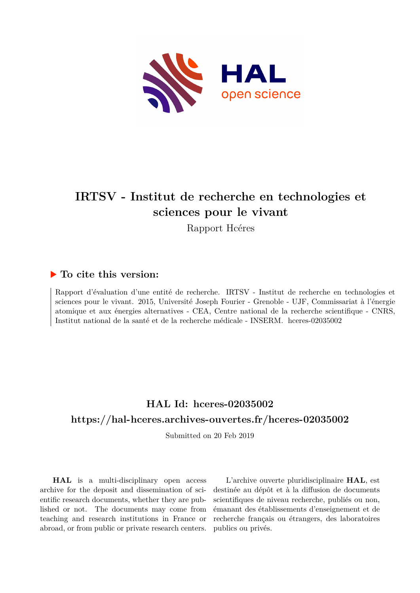

# **IRTSV - Institut de recherche en technologies et sciences pour le vivant**

Rapport Hcéres

### **To cite this version:**

Rapport d'évaluation d'une entité de recherche. IRTSV - Institut de recherche en technologies et sciences pour le vivant. 2015, Université Joseph Fourier - Grenoble - UJF, Commissariat à l'énergie atomique et aux énergies alternatives - CEA, Centre national de la recherche scientifique - CNRS, Institut national de la santé et de la recherche médicale - INSERM. h $c$ eres-02035002

## **HAL Id: hceres-02035002 <https://hal-hceres.archives-ouvertes.fr/hceres-02035002>**

Submitted on 20 Feb 2019

**HAL** is a multi-disciplinary open access archive for the deposit and dissemination of scientific research documents, whether they are published or not. The documents may come from teaching and research institutions in France or abroad, or from public or private research centers.

L'archive ouverte pluridisciplinaire **HAL**, est destinée au dépôt et à la diffusion de documents scientifiques de niveau recherche, publiés ou non, émanant des établissements d'enseignement et de recherche français ou étrangers, des laboratoires publics ou privés.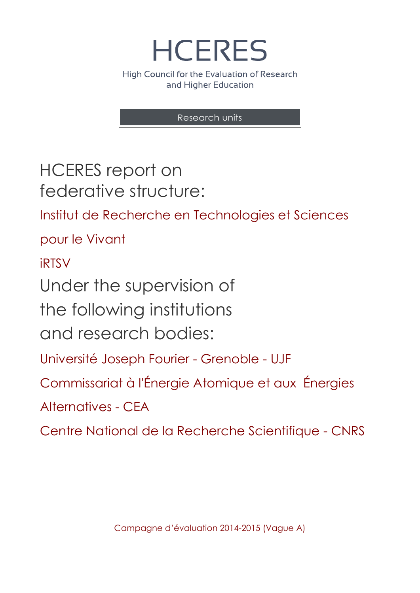**HCERES** High Council for the Evaluation of Research

and Higher Education

Research units

HCERES report on federative structure:

Institut de Recherche en Technologies et Sciences

pour le Vivant

iRTSV

Under the supervision of

the following institutions

and research bodies:

Université Joseph Fourier - Grenoble - UJF

Commissariat à l'Énergie Atomique et aux Énergies

Alternatives - CEA

Centre National de la Recherche Scientifique - CNRS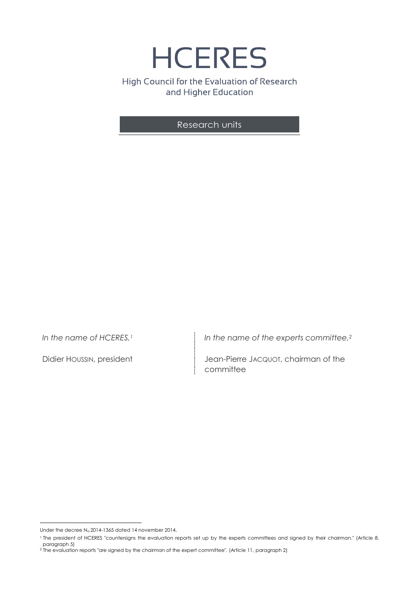**HCERES** High Council for the Evaluation of Research and Higher Education

Research units

*In the name of HCERES,<sup>1</sup>*

Didier HOUSSIN, president

*In the name of the experts committee, 2*

Jean-Pierre JACQUOT, chairman of the committee

 $\overline{a}$ Under the decree N<sub>o.</sub>2014-1365 dated 14 november 2014,

<sup>1</sup> The president of HCERES "countersigns the evaluation reports set up by the experts committees and signed by their chairman." (Article 8, paragraph 5)

<sup>2</sup> The evaluation reports "are signed by the chairman of the expert committee". (Article 11, paragraph 2)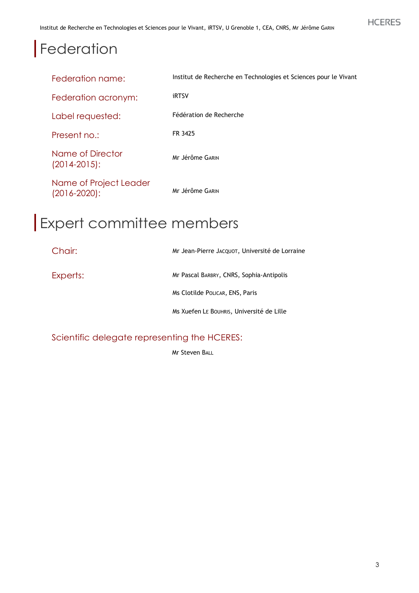# **Federation**

| Federation name:                            | Institut de Recherche en Technologies et Sciences pour le Vivant |
|---------------------------------------------|------------------------------------------------------------------|
| Federation acronym:                         | <b>iRTSV</b>                                                     |
| Label requested:                            | Fédération de Recherche                                          |
| Present no.:                                | FR 3425                                                          |
| Name of Director<br>$(2014 - 2015)$ :       | Mr Jérôme GARIN                                                  |
| Name of Project Leader<br>$(2016 - 2020)$ : | Mr Jérôme GARIN                                                  |

# Expert committee members

| Chair:   | Mr Jean-Pierre JACQUOT, Université de Lorraine |
|----------|------------------------------------------------|
| Experts: | Mr Pascal BARBRY, CNRS, Sophia-Antipolis       |
|          | Ms Clotilde POLICAR, ENS, Paris                |
|          | Ms Xuefen LE BOUHRIS, Université de Lille      |

Scientific delegate representing the HCERES:

Mr Steven BALL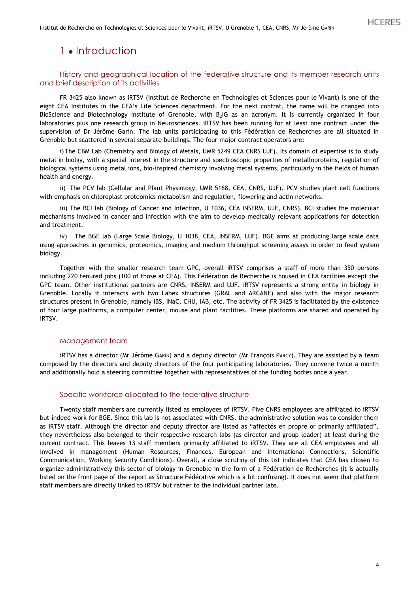## 1 • Introduction

#### History and geographical location of the federative structure and its member research units and brief description of its activities

FR 3425 also known as iRTSV (Institut de Recherche en Technologies et Sciences pour le Vivant) is one of the eight CEA Institutes in the CEA's Life Sciences department. For the next contrat, the name will be changed into BioScience and Biotechnology Institute of Grenoble, with B<sub>2</sub>IG as an acronym. It is currently organized in four laboratories plus one research group in Neurosciences. iRTSV has been running for at least one contract under the supervision of Dr Jérôme Garin. The lab units participating to this Fédération de Recherches are all situated in Grenoble but scattered in several separate buildings. The four major contract operators are:

i)The CBM Lab (Chemistry and Biology of Metals, UMR 5249 CEA CNRS UJF). Its domain of expertise is to study metal in biolgy, with a special interest in the structure and spectroscopic properties of metalloproteins, regulation of biological systems using metal ions, bio-inspired chemistry involving metal systems, particularly in the fields of human health and energy.

ii) The PCV lab (Cellular and Plant Physiology, UMR 5168, CEA, CNRS, UJF). PCV studies plant cell functions with emphasis on chloroplast proteomics metabolism and regulation, flowering and actin networks.

iii) The BCI lab (Biology of Cancer and Infection, U 1036, CEA INSERM, UJF, CNRS). BCI studies the molecular mechanisms involved in cancer and infection with the aim to develop medically relevant applications for detection and treatment.

iv) The BGE lab (Large Scale Biology, U 1038, CEA, INSERM, UJF). BGE aims at producing large scale data using approaches in genomics, proteomics, imaging and medium throughput screening assays in order to feed system biology.

Together with the smaller research team GPC, overall iRTSV comprises a staff of more than 350 persons including 220 tenured jobs (100 of those at CEA). This Fédération de Recherche is housed in CEA facilities except the GPC team. Other institutional partners are CNRS, INSERM and UJF. iRTSV represents a strong entity in biology in Grenoble. Locally it interacts with two Labex structures (GRAL and ARCANE) and also with the major research structures present in Grenoble, namely IBS, INaC, CHU, IAB, etc. The activity of FR 3425 is facilitated by the existence of four large platforms, a computer center, mouse and plant facilities. These platforms are shared and operated by iRTSV.

#### Management team

iRTSV has a director (Mr Jérôme GARIN) and a deputy director (Mr François PARCY). They are assisted by a team composed by the directors and deputy directors of the four participating laboratories. They convene twice a month and additionally hold a steering committee together with representatives of the funding bodies once a year.

#### Specific workforce allocated to the federative structure

Twenty staff members are currently listed as employees of iRTSV. Five CNRS employees are affiliated to iRTSV but indeed work for BGE. Since this lab is not associated with CNRS, the administrative solution was to consider them as iRTSV staff. Although the director and deputy director are listed as "affectés en propre or primarily affiliated", they nevertheless also belonged to their respective research labs (as director and group leader) at least during the current contract. This leaves 13 staff members primarily affiliated to iRTSV. They are all CEA employees and all involved in management (Human Resources, Finances, European and International Connections, Scientific Communication, Working Security Conditions). Overall, a close scrutiny of this list indicates that CEA has chosen to organize administratively this sector of biology in Grenoble in the form of a Fédération de Recherches (it is actually listed on the front page of the report as Structure Fédérative which is a bit confusing). It does not seem that platform staff members are directly linked to iRTSV but rather to the individual partner labs.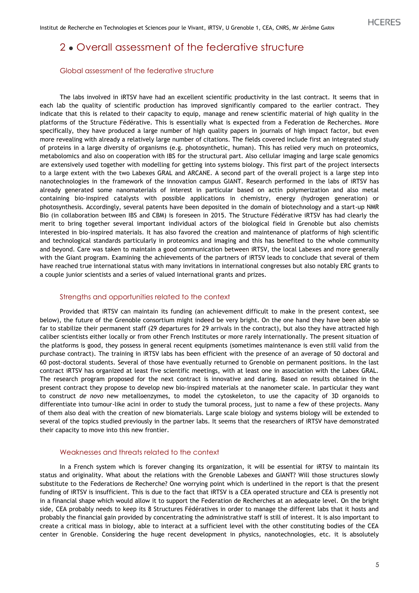## 2 • Overall assessment of the federative structure

#### Global assessment of the federative structure

The labs involved in iRTSV have had an excellent scientific productivity in the last contract. It seems that in each lab the quality of scientific production has improved significantly compared to the earlier contract. They indicate that this is related to their capacity to equip, manage and renew scientific material of high quality in the platforms of the Structure Fédérative. This is essentially what is expected from a Federation de Recherches. More specifically, they have produced a large number of high quality papers in journals of high impact factor, but even more revealing with already a relatively large number of citations. The fields covered include first an integrated study of proteins in a large diversity of organisms (e.g. photosynthetic, human). This has relied very much on proteomics, metabolomics and also on cooperation with IBS for the structural part. Also cellular imaging and large scale genomics are extensively used together with modelling for getting into systems biology. This first part of the project intersects to a large extent with the two Labexes GRAL and ARCANE. A second part of the overall project is a large step into nanotechnologies in the framework of the innovation campus GIANT. Research performed in the labs of iRTSV has already generated some nanomaterials of interest in particular based on actin polymerization and also metal containing bio-inspired catalysts with possible applications in chemistry, energy (hydrogen generation) or photosynthesis. Accordingly, several patents have been deposited in the domain of biotechnology and a start-up NMR Bio (in collaboration between IBS and CBM) is foreseen in 2015. The Structure Fédérative iRTSV has had clearly the merit to bring together several important individual actors of the biological field in Grenoble but also chemists interested in bio-inspired materials. It has also favored the creation and maintenance of platforms of high scientific and technological standards particularly in proteomics and imaging and this has benefited to the whole community and beyond. Care was taken to maintain a good communication between iRTSV, the local Labexes and more generally with the Giant program. Examining the achievements of the partners of iRTSV leads to conclude that several of them have reached true international status with many invitations in international congresses but also notably ERC grants to a couple junior scientists and a series of valued international grants and prizes.

#### Strengths and opportunities related to the context

Provided that iRTSV can maintain its funding (an achievement difficult to make in the present context, see below), the future of the Grenoble consortium might indeed be very bright. On the one hand they have been able so far to stabilize their permanent staff (29 departures for 29 arrivals in the contract), but also they have attracted high caliber scientists either locally or from other French Institutes or more rarely internationally. The present situation of the platforms is good, they possess in general recent equipments (sometimes maintenance is even still valid from the purchase contract). The training in iRTSV labs has been efficient with the presence of an average of 50 doctoral and 60 post-doctoral students. Several of those have eventually returned to Grenoble on permanent positions. In the last contract iRTSV has organized at least five scientific meetings, with at least one in association with the Labex GRAL. The research program proposed for the next contract is innovative and daring. Based on results obtained in the present contract they propose to develop new bio-inspired materials at the nanometer scale. In particular they want to construct *de novo* new metalloenzymes, to model the cytoskeleton, to use the capacity of 3D organoids to differentiate into tumour-like acini in order to study the tumoral process, just to name a few of these projects. Many of them also deal with the creation of new biomaterials. Large scale biology and systems biology will be extended to several of the topics studied previously in the partner labs. It seems that the researchers of iRTSV have demonstrated their capacity to move into this new frontier.

#### Weaknesses and threats related to the context

In a French system which is forever changing its organization, it will be essential for iRTSV to maintain its status and originality. What about the relations with the Grenoble Labexes and GIANT? Will those structures slowly substitute to the Federations de Recherche? One worrying point which is underlined in the report is that the present funding of iRTSV is insufficient. This is due to the fact that iRTSV is a CEA operated structure and CEA is presently not in a financial shape which would allow it to support the Federation de Recherches at an adequate level. On the bright side, CEA probably needs to keep its 8 Structures Fédératives in order to manage the different labs that it hosts and probably the financial gain provided by concentrating the administrative staff is still of interest. It is also important to create a critical mass in biology, able to interact at a sufficient level with the other constituting bodies of the CEA center in Grenoble. Considering the huge recent development in physics, nanotechnologies, etc. it is absolutely